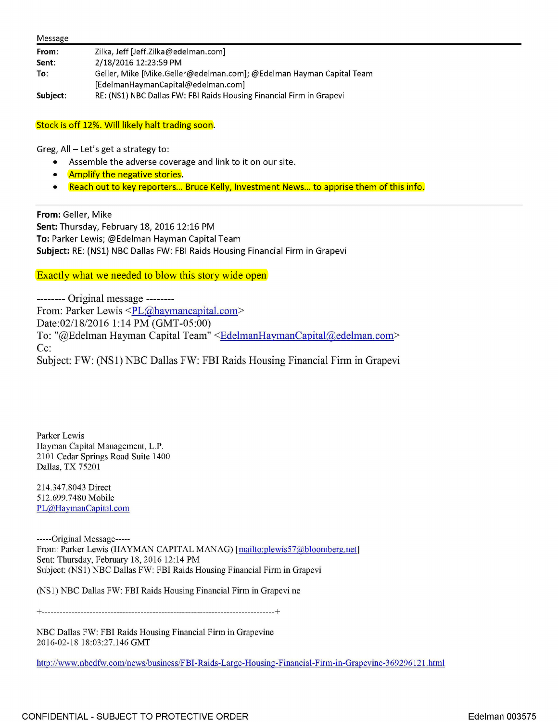| Message  |                                                                      |
|----------|----------------------------------------------------------------------|
| From:    | Zilka, Jeff [Jeff.Zilka@edelman.com]                                 |
| Sent:    | 2/18/2016 12:23:59 PM                                                |
| To:      | Geller, Mike [Mike.Geller@edelman.com]; @Edelman Hayman Capital Team |
|          | [EdelmanHaymanCapital@edelman.com]                                   |
| Subject: | RE: (NS1) NBC Dallas FW: FBI Raids Housing Financial Firm in Grapevi |

Stock is off 12%. Will likely halt trading soon.

Greg,  $All - Let's get a strategy to:$ 

- Assemble the adverse coverage and link to it on our site.
- Amplify the negative stories.
- Reach out to key reporters... Bruce Kelly, Investment News... to apprise them of this info.

**From:** Geller, Mike **Sent:** Thursday, February 18, 2016 12:16 PM **To:** Parker Lewis; @Edelman Hayman Capital Team **Subject:** RE: (NSl) NBC Dallas FW: FBI Raids Housing Financial Firm in Grapevi

Exactly what we needed to blow this story wide open

-------- Original message -------- From: Parker Lewis <PL@haymancapital.com> Date:02/18/2016 1:14 PM (GMT-05:00) To: "@Edelman Hayman Capital Team" <EdelmanHaymanCapital@edelman.com> Cc: Subject: FW: (NSI) NBC Dallas FW: FBI Raids Housing Financial Firm in Grapevi

Parker Lewis Hayman Capital Management, L.P. 2101 Cedar Springs Road Suite 1400 Dallas, TX 75201

214.347.8043 Direct 512.699.7480 Mobile PL@HaymanCapital.com

-----Original Message----- From: Parker Lewis (HAYMAN CAPITAL MANAG) [mailto:plewis57@bloomberg.net] Sent: Thursday, February 18, 2016 12:14 PM Subject: (NSl) NBC Dallas FW: FBI Raids Housing Financial Firm in Grapevi

(NSl) NBC Dallas FW: FBI Raids Housing Financial Firm in Grapevine

+------------------------------------------------------------------------------+

NBC Dallas FW: FBI Raids Housing Financial Firm in Grapevine 2016-02-18 18:03:27.146 GMT

http://www.nbcdfw.com/news/business/FBI-Raids-Large-Housing-Financial-Firm-in-Grapevine-369296121.html